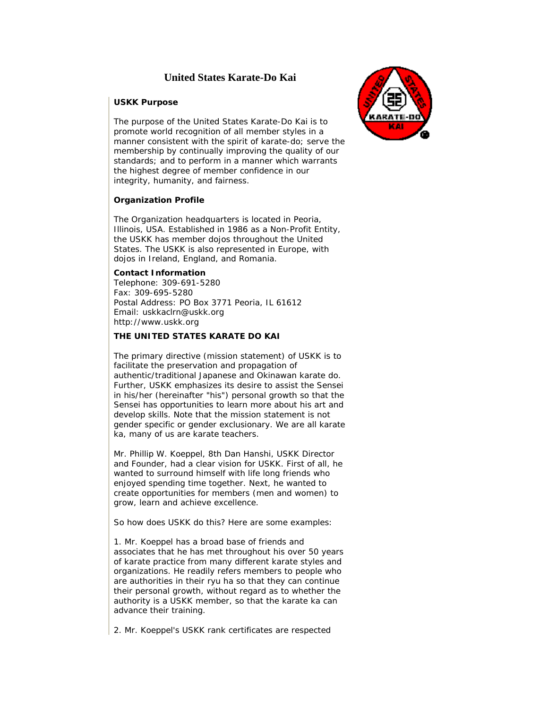# **United States Karate-Do Kai**

#### **USKK Purpose**

The purpose of the United States Karate-Do Kai is to promote world recognition of all member styles in a manner consistent with the spirit of karate-do; serve the membership by continually improving the quality of our standards; and to perform in a manner which warrants the highest degree of member confidence in our integrity, humanity, and fairness.

## **Organization Profile**

The Organization headquarters is located in Peoria, Illinois, USA. Established in 1986 as a Non-Profit Entity, the USKK has member dojos throughout the United States. The USKK is also represented in Europe, with dojos in Ireland, England, and Romania.

#### **Contact Information**

Telephone: 309-691-5280 Fax: 309-695-5280 Postal Address: PO Box 3771 Peoria, IL 61612 Email: uskkaclrn@uskk.org [http://www.uskk.org](http://www.uskk.org/) 

## **THE UNITED STATES KARATE DO KAI**

The primary directive (mission statement) of USKK is to facilitate the preservation and propagation of authentic/traditional Japanese and Okinawan karate do. Further, USKK emphasizes its desire to assist the Sensei in his/her (hereinafter "his") personal growth so that the Sensei has opportunities to learn more about his art and develop skills. Note that the mission statement is not gender specific or gender exclusionary. We are all karate ka, many of us are karate teachers.

Mr. Phillip W. Koeppel, 8th Dan Hanshi, USKK Director and Founder, had a clear vision for USKK. First of all, he wanted to surround himself with life long friends who enjoyed spending time together. Next, he wanted to create opportunities for members (men and women) to grow, learn and achieve excellence.

So how does USKK do this? Here are some examples:

1. Mr. Koeppel has a broad base of friends and associates that he has met throughout his over 50 years of karate practice from many different karate styles and organizations. He readily refers members to people who are authorities in their ryu ha so that they can continue their personal growth, without regard as to whether the authority is a USKK member, so that the karate ka can advance their training.

2. Mr. Koeppel's USKK rank certificates are respected